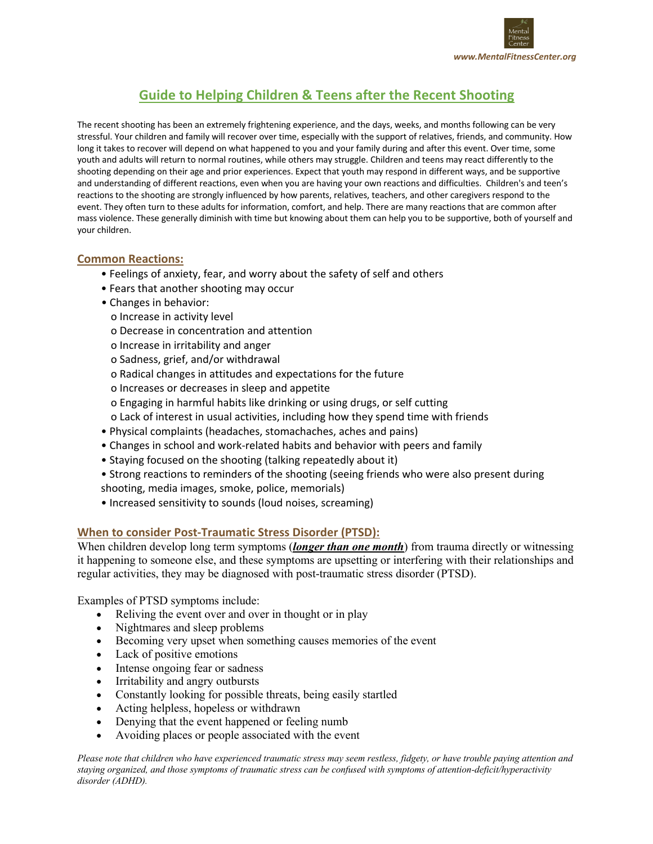

# **Guide to Helping Children & Teens after the Recent Shooting**

The recent shooting has been an extremely frightening experience, and the days, weeks, and months following can be very stressful. Your children and family will recover over time, especially with the support of relatives, friends, and community. How long it takes to recover will depend on what happened to you and your family during and after this event. Over time, some youth and adults will return to normal routines, while others may struggle. Children and teens may react differently to the shooting depending on their age and prior experiences. Expect that youth may respond in different ways, and be supportive and understanding of different reactions, even when you are having your own reactions and difficulties. Children's and teen's reactions to the shooting are strongly influenced by how parents, relatives, teachers, and other caregivers respond to the event. They often turn to these adults for information, comfort, and help. There are many reactions that are common after mass violence. These generally diminish with time but knowing about them can help you to be supportive, both of yourself and your children.

### **Common Reactions:**

- Feelings of anxiety, fear, and worry about the safety of self and others
- Fears that another shooting may occur
- Changes in behavior:
	- o Increase in activity level
	- o Decrease in concentration and attention
	- o Increase in irritability and anger
	- o Sadness, grief, and/or withdrawal
	- o Radical changes in attitudes and expectations for the future
	- o Increases or decreases in sleep and appetite
	- o Engaging in harmful habits like drinking or using drugs, or self cutting
	- o Lack of interest in usual activities, including how they spend time with friends
- Physical complaints (headaches, stomachaches, aches and pains)
- Changes in school and work-related habits and behavior with peers and family
- Staying focused on the shooting (talking repeatedly about it)
- Strong reactions to reminders of the shooting (seeing friends who were also present during
- shooting, media images, smoke, police, memorials)
- Increased sensitivity to sounds (loud noises, screaming)

## **When to consider Post-Traumatic Stress Disorder (PTSD):**

When children develop long term symptoms *(longer than one month*) from trauma directly or witnessing it happening to someone else, and these symptoms are upsetting or interfering with their relationships and regular activities, they may be diagnosed with post-traumatic stress disorder (PTSD).

Examples of PTSD symptoms include:

- Reliving the event over and over in thought or in play
- Nightmares and sleep problems
- Becoming very upset when something causes memories of the event
- Lack of positive emotions
- Intense ongoing fear or sadness
- Irritability and angry outbursts
- Constantly looking for possible threats, being easily startled
- Acting helpless, hopeless or withdrawn
- Denying that the event happened or feeling numb
- Avoiding places or people associated with the event

*Please note that children who have experienced traumatic stress may seem restless, fidgety, or have trouble paying attention and staying organized, and those symptoms of traumatic stress can be confused with symptoms of attention-deficit/hyperactivity disorder (ADHD).*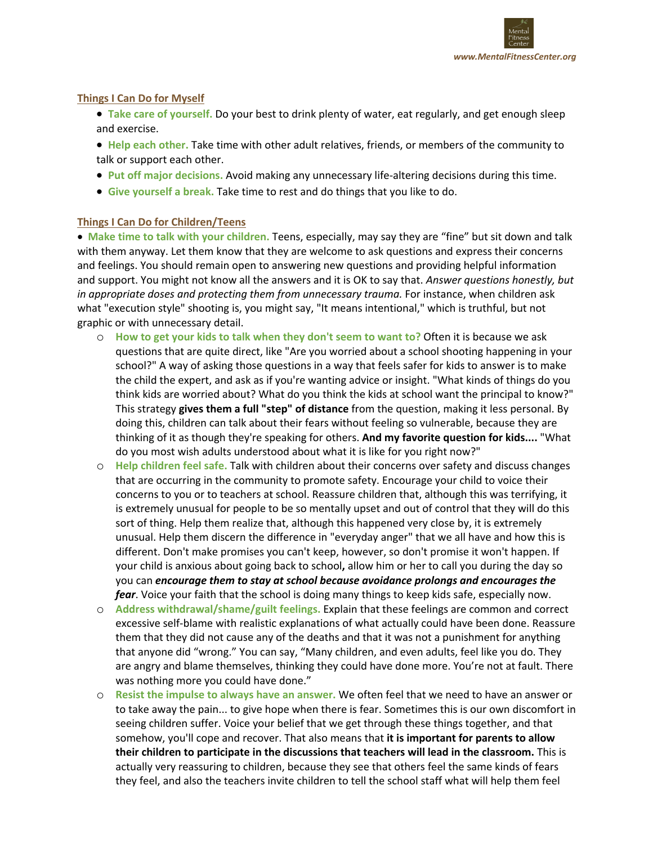

### **Things I Can Do for Myself**

- **Take care of yourself.** Do your best to drink plenty of water, eat regularly, and get enough sleep and exercise.
- **Help each other.** Take time with other adult relatives, friends, or members of the community to talk or support each other.
- **Put off major decisions.** Avoid making any unnecessary life-altering decisions during this time.
- **Give yourself a break.** Take time to rest and do things that you like to do.

## **Things I Can Do for Children/Teens**

• **Make time to talk with your children.** Teens, especially, may say they are "fine" but sit down and talk with them anyway. Let them know that they are welcome to ask questions and express their concerns and feelings. You should remain open to answering new questions and providing helpful information and support. You might not know all the answers and it is OK to say that. *Answer questions honestly, but in appropriate doses and protecting them from unnecessary trauma.* For instance, when children ask what "execution style" shooting is, you might say, "It means intentional," which is truthful, but not graphic or with unnecessary detail.

- o **How to get your kids to talk when they don't seem to want to?** Often it is because we ask questions that are quite direct, like "Are you worried about a school shooting happening in your school?" A way of asking those questions in a way that feels safer for kids to answer is to make the child the expert, and ask as if you're wanting advice or insight. "What kinds of things do you think kids are worried about? What do you think the kids at school want the principal to know?" This strategy **gives them a full "step" of distance** from the question, making it less personal. By doing this, children can talk about their fears without feeling so vulnerable, because they are thinking of it as though they're speaking for others. **And my favorite question for kids....** "What do you most wish adults understood about what it is like for you right now?"
- o **Help children feel safe.** Talk with children about their concerns over safety and discuss changes that are occurring in the community to promote safety. Encourage your child to voice their concerns to you or to teachers at school. Reassure children that, although this was terrifying, it is extremely unusual for people to be so mentally upset and out of control that they will do this sort of thing. Help them realize that, although this happened very close by, it is extremely unusual. Help them discern the difference in "everyday anger" that we all have and how this is different. Don't make promises you can't keep, however, so don't promise it won't happen. If your child is anxious about going back to school**,** allow him or her to call you during the day so you can *encourage them to stay at school because avoidance prolongs and encourages the fear*. Voice your faith that the school is doing many things to keep kids safe, especially now.
- o **Address withdrawal/shame/guilt feelings.** Explain that these feelings are common and correct excessive self-blame with realistic explanations of what actually could have been done. Reassure them that they did not cause any of the deaths and that it was not a punishment for anything that anyone did "wrong." You can say, "Many children, and even adults, feel like you do. They are angry and blame themselves, thinking they could have done more. You're not at fault. There was nothing more you could have done."
- o **Resist the impulse to always have an answer.** We often feel that we need to have an answer or to take away the pain... to give hope when there is fear. Sometimes this is our own discomfort in seeing children suffer. Voice your belief that we get through these things together, and that somehow, you'll cope and recover. That also means that **it is important for parents to allow their children to participate in the discussions that teachers will lead in the classroom.** This is actually very reassuring to children, because they see that others feel the same kinds of fears they feel, and also the teachers invite children to tell the school staff what will help them feel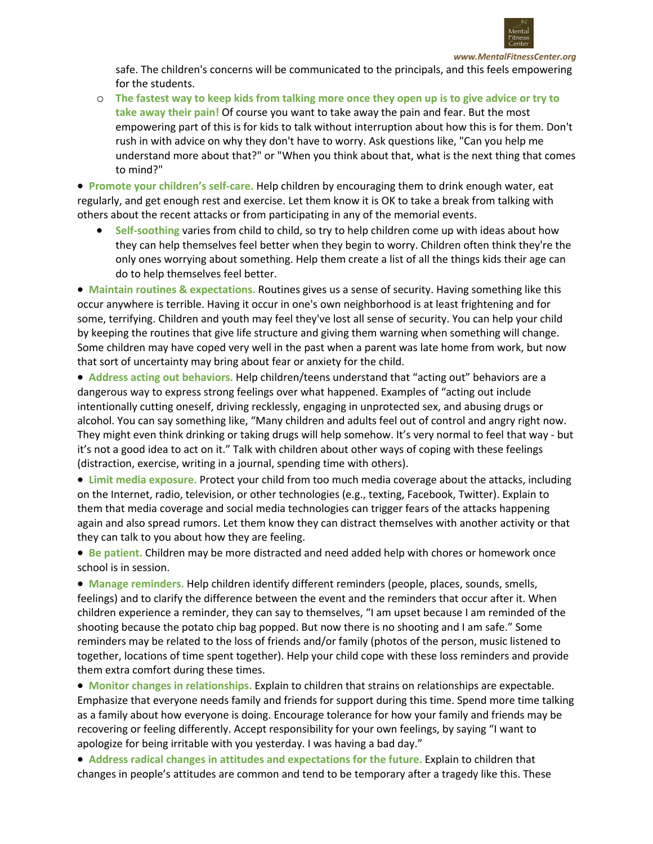

*www.MentalFitnessCenter.org*

safe. The children's concerns will be communicated to the principals, and this feels empowering for the students.

o **The fastest way to keep kids from talking more once they open up is to give advice or try to take away their pain!** Of course you want to take away the pain and fear. But the most empowering part of this is for kids to talk without interruption about how this is for them. Don't rush in with advice on why they don't have to worry. Ask questions like, "Can you help me understand more about that?" or "When you think about that, what is the next thing that comes to mind?"

• **Promote your children's self-care.** Help children by encouraging them to drink enough water, eat regularly, and get enough rest and exercise. Let them know it is OK to take a break from talking with others about the recent attacks or from participating in any of the memorial events.

• **Self-soothing** varies from child to child, so try to help children come up with ideas about how they can help themselves feel better when they begin to worry. Children often think they're the only ones worrying about something. Help them create a list of all the things kids their age can do to help themselves feel better.

• **Maintain routines & expectations.** Routines gives us a sense of security. Having something like this occur anywhere is terrible. Having it occur in one's own neighborhood is at least frightening and for some, terrifying. Children and youth may feel they've lost all sense of security. You can help your child by keeping the routines that give life structure and giving them warning when something will change. Some children may have coped very well in the past when a parent was late home from work, but now that sort of uncertainty may bring about fear or anxiety for the child.

• **Address acting out behaviors.** Help children/teens understand that "acting out" behaviors are a dangerous way to express strong feelings over what happened. Examples of "acting out include intentionally cutting oneself, driving recklessly, engaging in unprotected sex, and abusing drugs or alcohol. You can say something like, "Many children and adults feel out of control and angry right now. They might even think drinking or taking drugs will help somehow. It's very normal to feel that way - but it's not a good idea to act on it." Talk with children about other ways of coping with these feelings (distraction, exercise, writing in a journal, spending time with others).

• **Limit media exposure.** Protect your child from too much media coverage about the attacks, including on the Internet, radio, television, or other technologies (e.g., texting, Facebook, Twitter). Explain to them that media coverage and social media technologies can trigger fears of the attacks happening again and also spread rumors. Let them know they can distract themselves with another activity or that they can talk to you about how they are feeling.

• **Be patient.** Children may be more distracted and need added help with chores or homework once school is in session.

• **Manage reminders.** Help children identify different reminders (people, places, sounds, smells, feelings) and to clarify the difference between the event and the reminders that occur after it. When children experience a reminder, they can say to themselves, "I am upset because I am reminded of the shooting because the potato chip bag popped. But now there is no shooting and I am safe." Some reminders may be related to the loss of friends and/or family (photos of the person, music listened to together, locations of time spent together). Help your child cope with these loss reminders and provide them extra comfort during these times.

• **Monitor changes in relationships.** Explain to children that strains on relationships are expectable. Emphasize that everyone needs family and friends for support during this time. Spend more time talking as a family about how everyone is doing. Encourage tolerance for how your family and friends may be recovering or feeling differently. Accept responsibility for your own feelings, by saying "I want to apologize for being irritable with you yesterday. I was having a bad day."

• **Address radical changes in attitudes and expectations for the future.** Explain to children that changes in people's attitudes are common and tend to be temporary after a tragedy like this. These